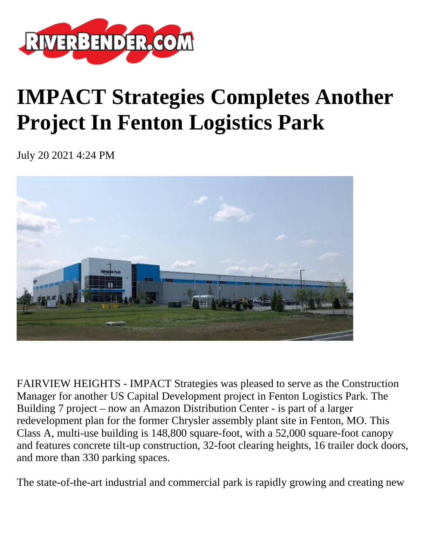

## **IMPACT Strategies Completes Another Project In Fenton Logistics Park**

July 20 2021 4:24 PM



FAIRVIEW HEIGHTS - IMPACT Strategies was pleased to serve as the Construction Manager for another US Capital Development project in Fenton Logistics Park. The Building 7 project – now an Amazon Distribution Center - is part of a larger redevelopment plan for the former Chrysler assembly plant site in Fenton, MO. This Class A, multi-use building is 148,800 square-foot, with a 52,000 square-foot canopy and features concrete tilt-up construction, 32-foot clearing heights, 16 trailer dock doors, and more than 330 parking spaces.

The state-of-the-art industrial and commercial park is rapidly growing and creating new